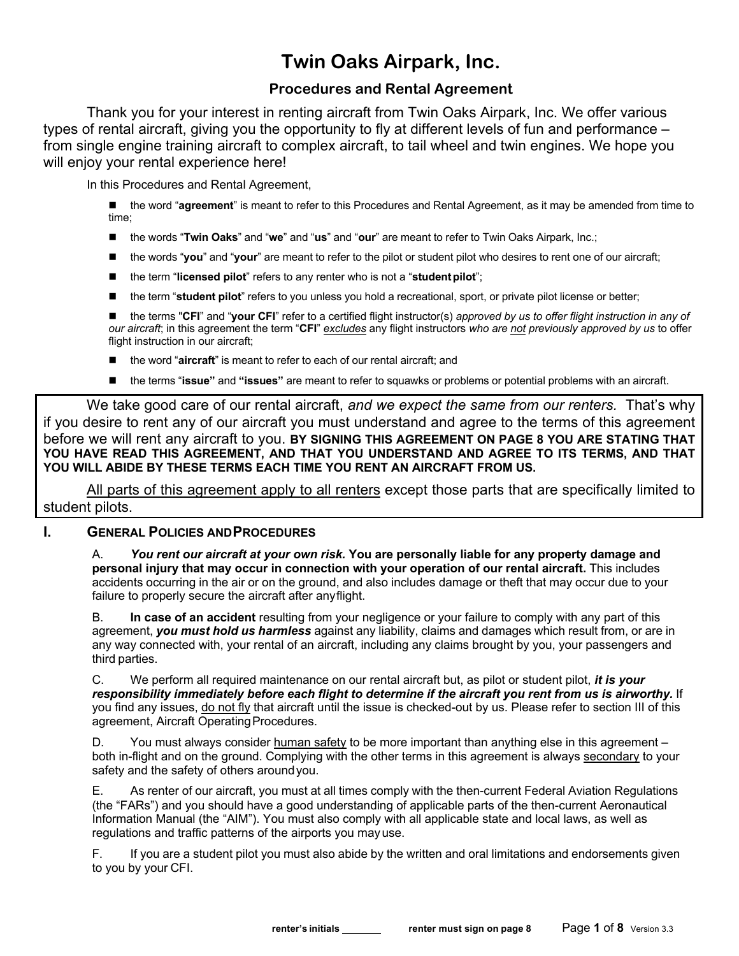## **Twin Oaks Airpark, Inc.**

## **Procedures and Rental Agreement**

Thank you for your interest in renting aircraft from Twin Oaks Airpark, Inc. We offer various types of rental aircraft, giving you the opportunity to fly at different levels of fun and performance – from single engine training aircraft to complex aircraft, to tail wheel and twin engines. We hope you will enjoy your rental experience here!

In this Procedures and Rental Agreement,

- the word "agreement" is meant to refer to this Procedures and Rental Agreement, as it may be amended from time to time;
- the words "**Twin Oaks**" and "we" and "us" and "our" are meant to refer to Twin Oaks Airpark, Inc.;
- the words "**you**" and "**your**" are meant to refer to the pilot or student pilot who desires to rent one of our aircraft;
- the term "**licensed pilot**" refers to any renter who is not a "**student pilot**";
- the term "**student pilot**" refers to you unless you hold a recreational, sport, or private pilot license or better;

■ the terms "CFI" and "your CFI" refer to a certified flight instructor(s) *approved by us to offer flight instruction in any of our aircraft*; in this agreement the term "**CFI**" *excludes* any flight instructors *who are not previously approved by us* to offer flight instruction in our aircraft;

- the word "aircraft" is meant to refer to each of our rental aircraft; and
- n the terms "**issue"** and **"issues"** are meant to refer to squawks or problems or potential problems with an aircraft.

We take good care of our rental aircraft, *and we expect the same from our renters.* That's why if you desire to rent any of our aircraft you must understand and agree to the terms of this agreement before we will rent any aircraft to you. **BY SIGNING THIS AGREEMENT ON PAGE 8 YOU ARE STATING THAT YOU HAVE READ THIS AGREEMENT, AND THAT YOU UNDERSTAND AND AGREE TO ITS TERMS, AND THAT YOU WILL ABIDE BY THESE TERMS EACH TIME YOU RENT AN AIRCRAFT FROM US.**

All parts of this agreement apply to all renters except those parts that are specifically limited to student pilots.

## **I. GENERAL POLICIES ANDPROCEDURES**

A. *You rent our aircraft at your own risk.* **You are personally liable for any property damage and personal injury that may occur in connection with your operation of our rental aircraft.** This includes accidents occurring in the air or on the ground, and also includes damage or theft that may occur due to your failure to properly secure the aircraft after anyflight.

B. **In case of an accident** resulting from your negligence or your failure to comply with any part of this agreement, *you must hold us harmless* against any liability, claims and damages which result from, or are in any way connected with, your rental of an aircraft, including any claims brought by you, your passengers and third parties.

C. We perform all required maintenance on our rental aircraft but, as pilot or student pilot, *it is your responsibility immediately before each flight to determine if the aircraft you rent from us is airworthy.* If you find any issues, do not fly that aircraft until the issue is checked-out by us. Please refer to section III of this agreement, Aircraft OperatingProcedures.

D. You must always consider human safety to be more important than anything else in this agreement – both in-flight and on the ground. Complying with the other terms in this agreement is always secondary to your safety and the safety of others around you.

E. As renter of our aircraft, you must at all times comply with the then-current Federal Aviation Regulations (the "FARs") and you should have a good understanding of applicable parts of the then-current Aeronautical Information Manual (the "AIM"). You must also comply with all applicable state and local laws, as well as regulations and traffic patterns of the airports you mayuse.

F. If you are a student pilot you must also abide by the written and oral limitations and endorsements given to you by your CFI.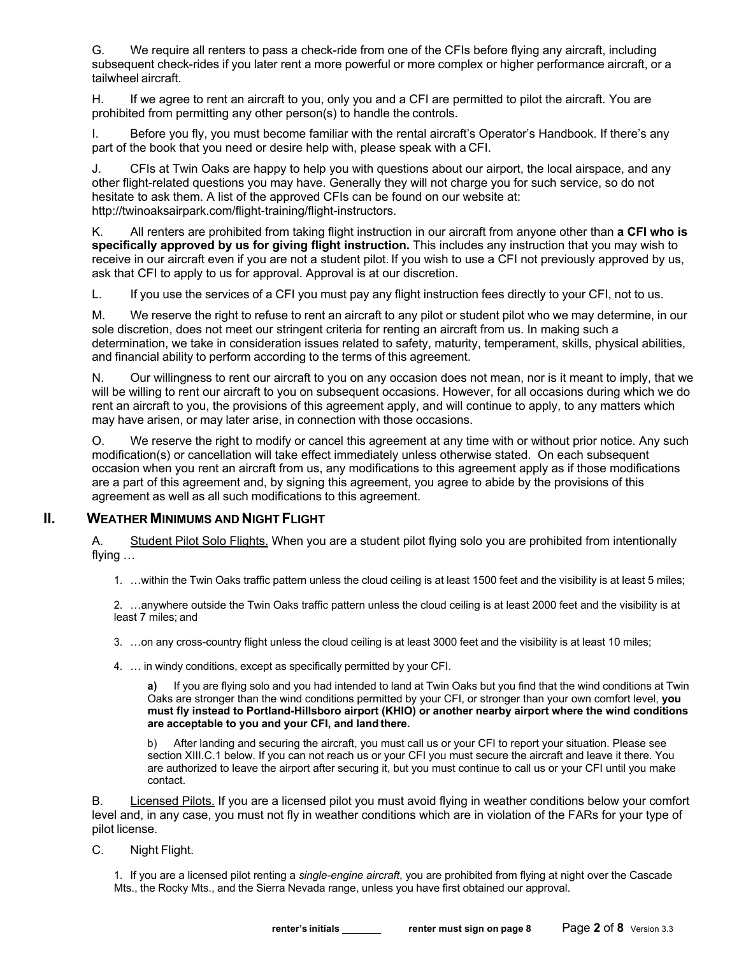G. We require all renters to pass a check-ride from one of the CFIs before flying any aircraft, including subsequent check-rides if you later rent a more powerful or more complex or higher performance aircraft, or a tailwheel aircraft.

H. If we agree to rent an aircraft to you, only you and a CFI are permitted to pilot the aircraft. You are prohibited from permitting any other person(s) to handle the controls.

I. Before you fly, you must become familiar with the rental aircraft's Operator's Handbook. If there's any part of the book that you need or desire help with, please speak with a CFI.

J. CFIs at Twin Oaks are happy to help you with questions about our airport, the local airspace, and any other flight-related questions you may have. Generally they will not charge you for such service, so do not hesitate to ask them. A list of the approved CFIs can be found on our website at: http://twinoaksairpark.com/flight-training/flight-instructors.

K. All renters are prohibited from taking flight instruction in our aircraft from anyone other than **a CFI who is specifically approved by us for giving flight instruction.** This includes any instruction that you may wish to receive in our aircraft even if you are not a student pilot. If you wish to use a CFI not previously approved by us, ask that CFI to apply to us for approval. Approval is at our discretion.

L. If you use the services of a CFI you must pay any flight instruction fees directly to your CFI, not to us.

M. We reserve the right to refuse to rent an aircraft to any pilot or student pilot who we may determine, in our sole discretion, does not meet our stringent criteria for renting an aircraft from us. In making such a determination, we take in consideration issues related to safety, maturity, temperament, skills, physical abilities, and financial ability to perform according to the terms of this agreement.

N. Our willingness to rent our aircraft to you on any occasion does not mean, nor is it meant to imply, that we will be willing to rent our aircraft to you on subsequent occasions. However, for all occasions during which we do rent an aircraft to you, the provisions of this agreement apply, and will continue to apply, to any matters which may have arisen, or may later arise, in connection with those occasions.

O. We reserve the right to modify or cancel this agreement at any time with or without prior notice. Any such modification(s) or cancellation will take effect immediately unless otherwise stated. On each subsequent occasion when you rent an aircraft from us, any modifications to this agreement apply as if those modifications are a part of this agreement and, by signing this agreement, you agree to abide by the provisions of this agreement as well as all such modifications to this agreement.

#### **II. WEATHER MINIMUMS AND NIGHT FLIGHT**

A. Student Pilot Solo Flights. When you are a student pilot flying solo you are prohibited from intentionally flying …

1. …within the Twin Oaks traffic pattern unless the cloud ceiling is at least 1500 feet and the visibility is at least 5 miles;

2. …anywhere outside the Twin Oaks traffic pattern unless the cloud ceiling is at least 2000 feet and the visibility is at least 7 miles; and

3. …on any cross-country flight unless the cloud ceiling is at least 3000 feet and the visibility is at least 10 miles;

4. … in windy conditions, except as specifically permitted by your CFI.

**a)** If you are flying solo and you had intended to land at Twin Oaks but you find that the wind conditions at Twin Oaks are stronger than the wind conditions permitted by your CFI, or stronger than your own comfort level, **you must fly instead to Portland-Hillsboro airport (KHIO) or another nearby airport where the wind conditions are acceptable to you and your CFI, and land there.**

b) After landing and securing the aircraft, you must call us or your CFI to report your situation. Please see section XIII.C.1 below. If you can not reach us or your CFI you must secure the aircraft and leave it there. You are authorized to leave the airport after securing it, but you must continue to call us or your CFI until you make contact.

B. Licensed Pilots. If you are a licensed pilot you must avoid flying in weather conditions below your comfort level and, in any case, you must not fly in weather conditions which are in violation of the FARs for your type of pilot license.

C. Night Flight.

1. If you are a licensed pilot renting a *single-engine aircraft*, you are prohibited from flying at night over the Cascade Mts., the Rocky Mts., and the Sierra Nevada range, unless you have first obtained our approval.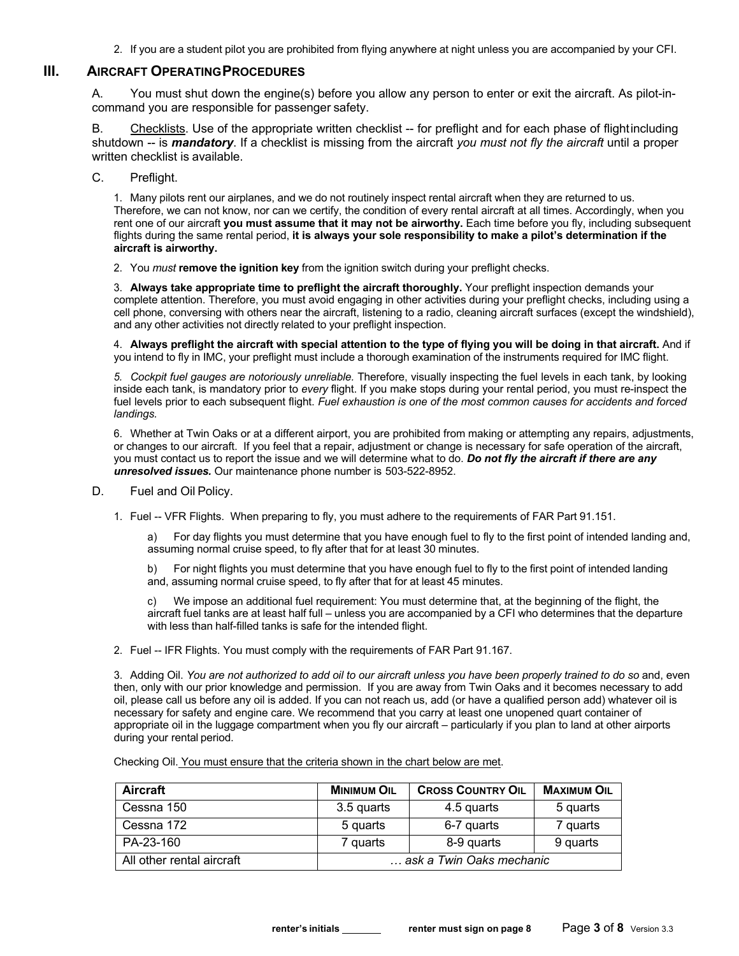2. If you are a student pilot you are prohibited from flying anywhere at night unless you are accompanied by your CFI.

## **III. AIRCRAFT OPERATINGPROCEDURES**

A. You must shut down the engine(s) before you allow any person to enter or exit the aircraft. As pilot-incommand you are responsible for passenger safety.

B. Checklists. Use of the appropriate written checklist -- for preflight and for each phase of flightincluding shutdown -- is *mandatory*. If a checklist is missing from the aircraft *you must not fly the aircraft* until a proper written checklist is available.

C. Preflight.

1. Many pilots rent our airplanes, and we do not routinely inspect rental aircraft when they are returned to us. Therefore, we can not know, nor can we certify, the condition of every rental aircraft at all times. Accordingly, when you rent one of our aircraft **you must assume that it may not be airworthy.** Each time before you fly, including subsequent flights during the same rental period, **it is always your sole responsibility to make a pilot's determination if the aircraft is airworthy.**

2. You *must* **remove the ignition key** from the ignition switch during your preflight checks.

3. **Always take appropriate time to preflight the aircraft thoroughly.** Your preflight inspection demands your complete attention. Therefore, you must avoid engaging in other activities during your preflight checks, including using a cell phone, conversing with others near the aircraft, listening to a radio, cleaning aircraft surfaces (except the windshield), and any other activities not directly related to your preflight inspection.

4. **Always preflight the aircraft with special attention to the type of flying you will be doing in that aircraft.** And if you intend to fly in IMC, your preflight must include a thorough examination of the instruments required for IMC flight.

*5. Cockpit fuel gauges are notoriously unreliable.* Therefore, visually inspecting the fuel levels in each tank, by looking inside each tank, is mandatory prior to *every* flight. If you make stops during your rental period, you must re-inspect the fuel levels prior to each subsequent flight. *Fuel exhaustion is one of the most common causes for accidents and forced landings.*

6. Whether at Twin Oaks or at a different airport, you are prohibited from making or attempting any repairs, adjustments, or changes to our aircraft. If you feel that a repair, adjustment or change is necessary for safe operation of the aircraft, you must contact us to report the issue and we will determine what to do. *Do not fly the aircraft if there are any unresolved issues.* Our maintenance phone number is 503-522-8952.

- D. Fuel and Oil Policy.
	- 1. Fuel -- VFR Flights. When preparing to fly, you must adhere to the requirements of FAR Part 91.151.

a) For day flights you must determine that you have enough fuel to fly to the first point of intended landing and, assuming normal cruise speed, to fly after that for at least 30 minutes.

b) For night flights you must determine that you have enough fuel to fly to the first point of intended landing and, assuming normal cruise speed, to fly after that for at least 45 minutes.

c) We impose an additional fuel requirement: You must determine that, at the beginning of the flight, the aircraft fuel tanks are at least half full – unless you are accompanied by a CFI who determines that the departure with less than half-filled tanks is safe for the intended flight.

2. Fuel -- IFR Flights. You must comply with the requirements of FAR Part 91.167.

3. Adding Oil. *You are not authorized to add oil to our aircraft unless you have been properly trained to do so* and, even then, only with our prior knowledge and permission. If you are away from Twin Oaks and it becomes necessary to add oil, please call us before any oil is added. If you can not reach us, add (or have a qualified person add) whatever oil is necessary for safety and engine care. We recommend that you carry at least one unopened quart container of appropriate oil in the luggage compartment when you fly our aircraft – particularly if you plan to land at other airports during your rental period.

| Aircraft                  | <b>MINIMUM OIL</b>       | <b>CROSS COUNTRY OIL</b> | <b>MAXIMUM OIL</b> |
|---------------------------|--------------------------|--------------------------|--------------------|
| Cessna 150                | 3.5 quarts               | 4.5 quarts               | 5 quarts           |
| Cessna 172                | 5 quarts                 | 6-7 quarts               | 7 quarts           |
| PA-23-160                 | 7 quarts                 | 8-9 quarts               | 9 quarts           |
| All other rental aircraft | ask a Twin Oaks mechanic |                          |                    |

Checking Oil. You must ensure that the criteria shown in the chart below are met.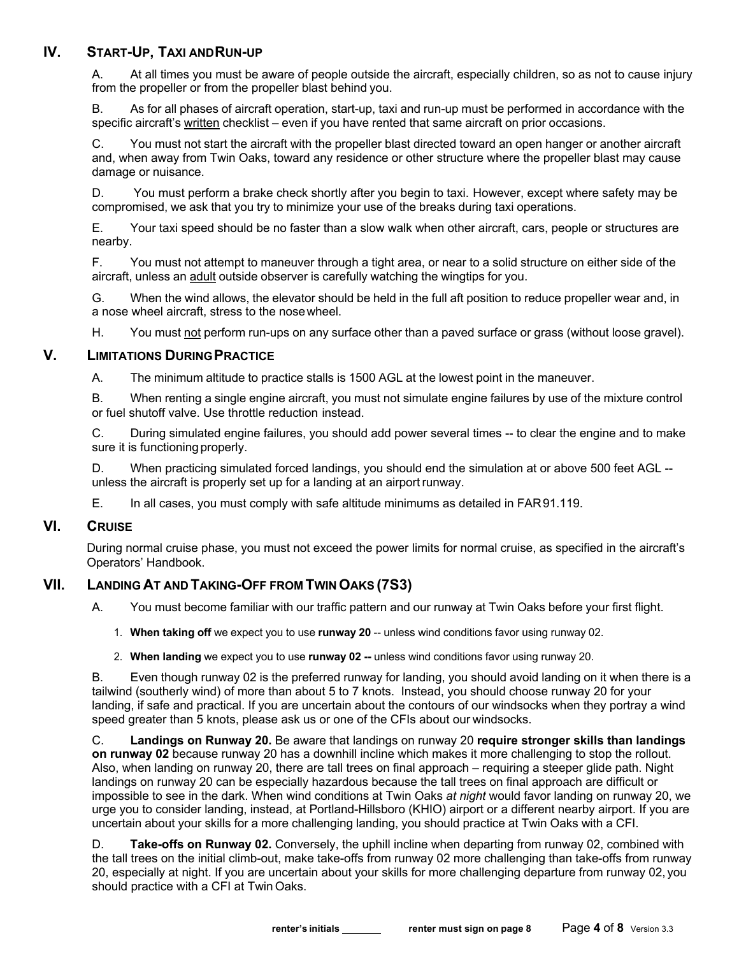## **IV. START-UP, TAXI ANDRUN-UP**

A. At all times you must be aware of people outside the aircraft, especially children, so as not to cause injury from the propeller or from the propeller blast behind you.

B. As for all phases of aircraft operation, start-up, taxi and run-up must be performed in accordance with the specific aircraft's written checklist – even if you have rented that same aircraft on prior occasions.

C. You must not start the aircraft with the propeller blast directed toward an open hanger or another aircraft and, when away from Twin Oaks, toward any residence or other structure where the propeller blast may cause damage or nuisance.

D. You must perform a brake check shortly after you begin to taxi. However, except where safety may be compromised, we ask that you try to minimize your use of the breaks during taxi operations.

E. Your taxi speed should be no faster than a slow walk when other aircraft, cars, people or structures are nearby.

F. You must not attempt to maneuver through a tight area, or near to a solid structure on either side of the aircraft, unless an adult outside observer is carefully watching the wingtips for you.

G. When the wind allows, the elevator should be held in the full aft position to reduce propeller wear and, in a nose wheel aircraft, stress to the nosewheel.

H. You must not perform run-ups on any surface other than a paved surface or grass (without loose gravel).

#### **V. LIMITATIONS DURINGPRACTICE**

A. The minimum altitude to practice stalls is 1500 AGL at the lowest point in the maneuver.

B. When renting a single engine aircraft, you must not simulate engine failures by use of the mixture control or fuel shutoff valve. Use throttle reduction instead.

C. During simulated engine failures, you should add power several times -- to clear the engine and to make sure it is functioning properly.

D. When practicing simulated forced landings, you should end the simulation at or above 500 feet AGL - unless the aircraft is properly set up for a landing at an airport runway.

E. In all cases, you must comply with safe altitude minimums as detailed in FAR91.119.

#### **VI. CRUISE**

During normal cruise phase, you must not exceed the power limits for normal cruise, as specified in the aircraft's Operators' Handbook.

## **VII. LANDING AT AND TAKING-OFF FROM TWINOAKS (7S3)**

A. You must become familiar with our traffic pattern and our runway at Twin Oaks before your first flight.

- 1. **When taking off** we expect you to use **runway 20** -- unless wind conditions favor using runway 02.
- 2. **When landing** we expect you to use **runway 02 --** unless wind conditions favor using runway 20.

B. Even though runway 02 is the preferred runway for landing, you should avoid landing on it when there is a tailwind (southerly wind) of more than about 5 to 7 knots. Instead, you should choose runway 20 for your landing, if safe and practical. If you are uncertain about the contours of our windsocks when they portray a wind speed greater than 5 knots, please ask us or one of the CFIs about our windsocks.

C. **Landings on Runway 20.** Be aware that landings on runway 20 **require stronger skills than landings on runway 02** because runway 20 has a downhill incline which makes it more challenging to stop the rollout. Also, when landing on runway 20, there are tall trees on final approach – requiring a steeper glide path. Night landings on runway 20 can be especially hazardous because the tall trees on final approach are difficult or impossible to see in the dark. When wind conditions at Twin Oaks *at night* would favor landing on runway 20, we urge you to consider landing, instead, at Portland-Hillsboro (KHIO) airport or a different nearby airport. If you are uncertain about your skills for a more challenging landing, you should practice at Twin Oaks with a CFI.

D. **Take-offs on Runway 02.** Conversely, the uphill incline when departing from runway 02, combined with the tall trees on the initial climb-out, make take-offs from runway 02 more challenging than take-offs from runway 20, especially at night. If you are uncertain about your skills for more challenging departure from runway 02, you should practice with a CFI at Twin Oaks.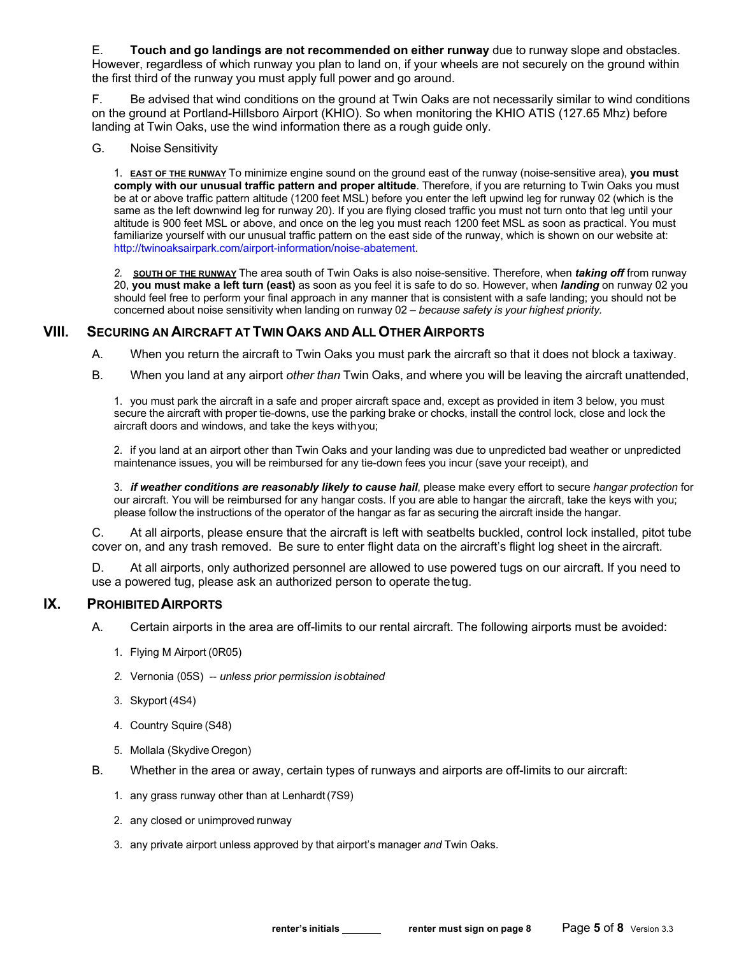E. **Touch and go landings are not recommended on either runway** due to runway slope and obstacles. However, regardless of which runway you plan to land on, if your wheels are not securely on the ground within the first third of the runway you must apply full power and go around.

F. Be advised that wind conditions on the ground at Twin Oaks are not necessarily similar to wind conditions on the ground at Portland-Hillsboro Airport (KHIO). So when monitoring the KHIO ATIS (127.65 Mhz) before landing at Twin Oaks, use the wind information there as a rough guide only.

G. Noise Sensitivity

1. **EAST OF THE RUNWAY** To minimize engine sound on the ground east of the runway (noise-sensitive area), **you must comply with our unusual traffic pattern and proper altitude**. Therefore, if you are returning to Twin Oaks you must be at or above traffic pattern altitude (1200 feet MSL) before you enter the left upwind leg for runway 02 (which is the same as the left downwind leg for runway 20). If you are flying closed traffic you must not turn onto that leg until your altitude is 900 feet MSL or above, and once on the leg you must reach 1200 feet MSL as soon as practical. You must familiarize yourself with our unusual traffic pattern on the east side of the runway, which is shown on our website at: http://twinoaksairpark.com/airport-information/noise-abatement.

*2.* **SOUTH OF THE RUNWAY** The area south of Twin Oaks is also noise-sensitive. Therefore, when *taking off* from runway 20, **you must make a left turn (east)** as soon as you feel it is safe to do so. However, when *landing* on runway 02 you should feel free to perform your final approach in any manner that is consistent with a safe landing; you should not be concerned about noise sensitivity when landing on runway 02 – *because safety is your highest priority.*

#### **VIII. SECURING AN AIRCRAFT AT TWINOAKS AND ALL OTHER AIRPORTS**

A. When you return the aircraft to Twin Oaks you must park the aircraft so that it does not block a taxiway.

B. When you land at any airport *other than* Twin Oaks, and where you will be leaving the aircraft unattended,

1. you must park the aircraft in a safe and proper aircraft space and, except as provided in item 3 below, you must secure the aircraft with proper tie-downs, use the parking brake or chocks, install the control lock, close and lock the aircraft doors and windows, and take the keys withyou;

2. if you land at an airport other than Twin Oaks and your landing was due to unpredicted bad weather or unpredicted maintenance issues, you will be reimbursed for any tie-down fees you incur (save your receipt), and

3. *if weather conditions are reasonably likely to cause hail*, please make every effort to secure *hangar protection* for our aircraft. You will be reimbursed for any hangar costs. If you are able to hangar the aircraft, take the keys with you; please follow the instructions of the operator of the hangar as far as securing the aircraft inside the hangar.

C. At all airports, please ensure that the aircraft is left with seatbelts buckled, control lock installed, pitot tube cover on, and any trash removed. Be sure to enter flight data on the aircraft's flight log sheet in the aircraft.

D. At all airports, only authorized personnel are allowed to use powered tugs on our aircraft. If you need to use a powered tug, please ask an authorized person to operate thetug.

#### **IX. PROHIBITEDAIRPORTS**

- A. Certain airports in the area are off-limits to our rental aircraft. The following airports must be avoided:
	- 1. Flying M Airport (0R05)
	- *2.* Vernonia (05S) -- *unless prior permission isobtained*
	- 3. Skyport (4S4)
	- 4. Country Squire (S48)
	- 5. Mollala (Skydive Oregon)
- B. Whether in the area or away, certain types of runways and airports are off-limits to our aircraft:
	- 1. any grass runway other than at Lenhardt(7S9)
	- 2. any closed or unimproved runway
	- 3. any private airport unless approved by that airport's manager *and* Twin Oaks.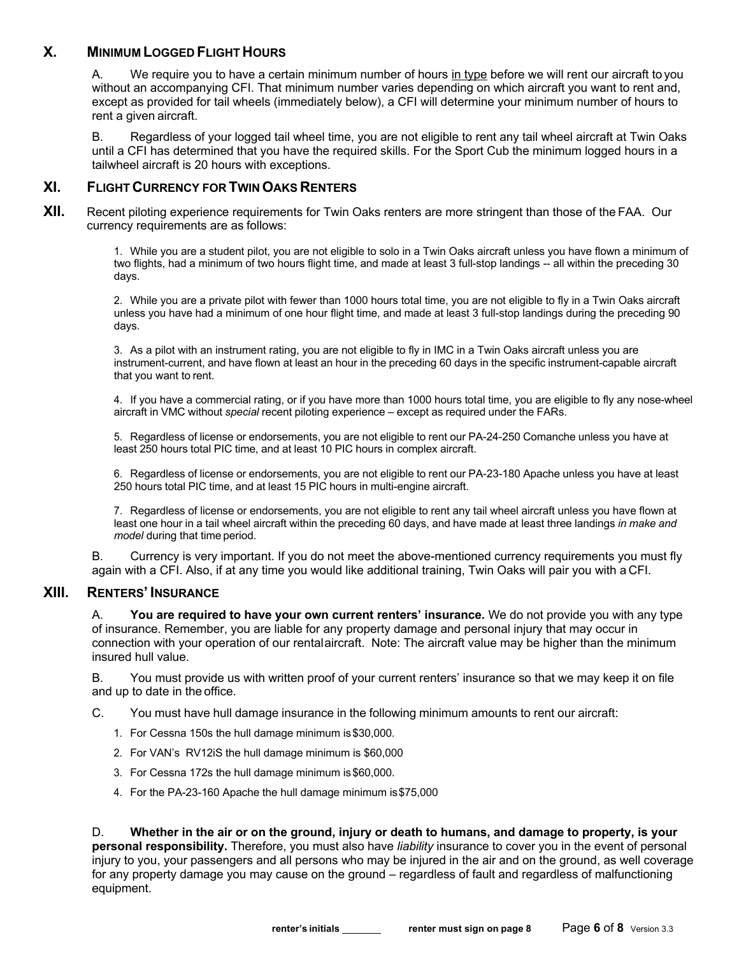## **X. MINIMUM LOGGED FLIGHT HOURS**

A. We require you to have a certain minimum number of hours in type before we will rent our aircraft to you without an accompanying CFI. That minimum number varies depending on which aircraft you want to rent and, except as provided for tail wheels (immediately below), a CFI will determine your minimum number of hours to rent a given aircraft.

B. Regardless of your logged tail wheel time, you are not eligible to rent any tail wheel aircraft at Twin Oaks until a CFI has determined that you have the required skills. For the Sport Cub the minimum logged hours in a tailwheel aircraft is 20 hours with exceptions.

#### **XI. FLIGHT CURRENCY FOR TWINOAKS RENTERS**

**XII.** Recent piloting experience requirements for Twin Oaks renters are more stringent than those of the FAA. Our currency requirements are as follows:

> 1. While you are a student pilot, you are not eligible to solo in a Twin Oaks aircraft unless you have flown a minimum of two flights, had a minimum of two hours flight time, and made at least 3 full-stop landings -- all within the preceding 30 days.

2. While you are a private pilot with fewer than 1000 hours total time, you are not eligible to fly in a Twin Oaks aircraft unless you have had a minimum of one hour flight time, and made at least 3 full-stop landings during the preceding 90 days.

3. As a pilot with an instrument rating, you are not eligible to fly in IMC in a Twin Oaks aircraft unless you are instrument-current, and have flown at least an hour in the preceding 60 days in the specific instrument-capable aircraft that you want to rent.

4. If you have a commercial rating, or if you have more than 1000 hours total time, you are eligible to fly any nose-wheel aircraft in VMC without *special* recent piloting experience – except as required under the FARs.

5. Regardless of license or endorsements, you are not eligible to rent our PA-24-250 Comanche unless you have at least 250 hours total PIC time, and at least 10 PIC hours in complex aircraft.

6. Regardless of license or endorsements, you are not eligible to rent our PA-23-180 Apache unless you have at least 250 hours total PIC time, and at least 15 PIC hours in multi-engine aircraft.

7. Regardless of license or endorsements, you are not eligible to rent any tail wheel aircraft unless you have flown at least one hour in a tail wheel aircraft within the preceding 60 days, and have made at least three landings *in make and model* during that time period.

B. Currency is very important. If you do not meet the above-mentioned currency requirements you must fly again with a CFI. Also, if at any time you would like additional training, Twin Oaks will pair you with a CFI.

## **XIII. RENTERS' INSURANCE**

A. **You are required to have your own current renters' insurance.** We do not provide you with any type of insurance. Remember, you are liable for any property damage and personal injury that may occur in connection with your operation of our rentalaircraft. Note: The aircraft value may be higher than the minimum insured hull value.

B. You must provide us with written proof of your current renters' insurance so that we may keep it on file and up to date in the office.

- C. You must have hull damage insurance in the following minimum amounts to rent our aircraft:
	- 1. For Cessna 150s the hull damage minimum is\$30,000.
	- 2. For VAN's RV12iS the hull damage minimum is \$60,000
	- 3. For Cessna 172s the hull damage minimum is\$60,000.
	- 4. For the PA-23-160 Apache the hull damage minimum is\$75,000

D. **Whether in the air or on the ground, injury or death to humans, and damage to property, is your personal responsibility.** Therefore, you must also have *liability* insurance to cover you in the event of personal injury to you, your passengers and all persons who may be injured in the air and on the ground, as well coverage for any property damage you may cause on the ground – regardless of fault and regardless of malfunctioning equipment.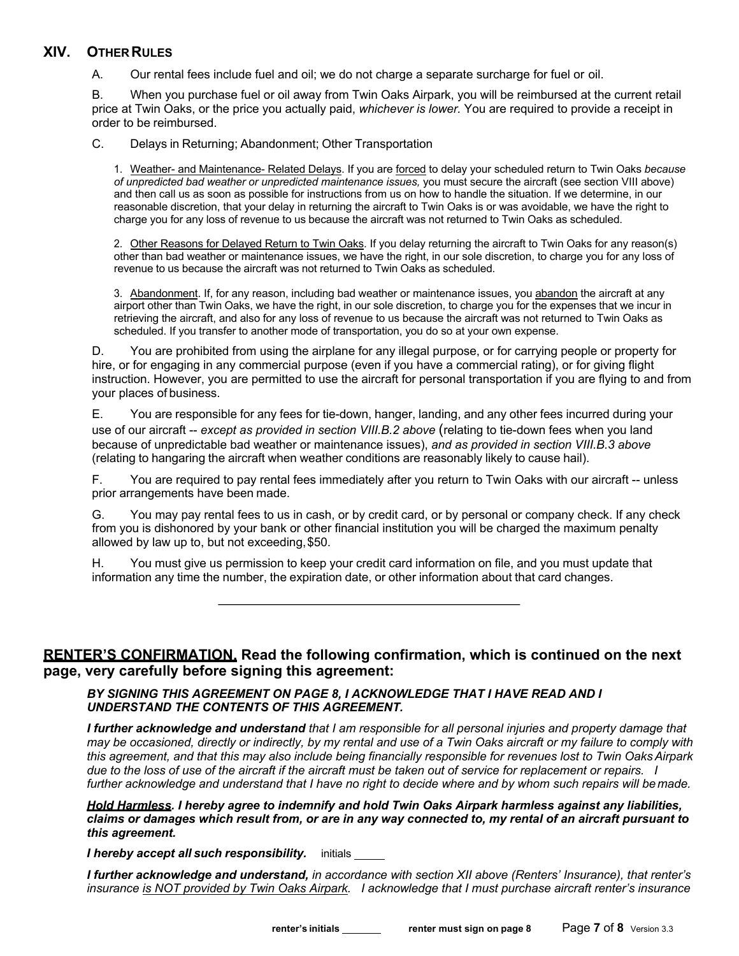## **XIV. OTHER RULES**

A. Our rental fees include fuel and oil; we do not charge a separate surcharge for fuel or oil.

B. When you purchase fuel or oil away from Twin Oaks Airpark, you will be reimbursed at the current retail price at Twin Oaks, or the price you actually paid, *whichever is lower.* You are required to provide a receipt in order to be reimbursed.

C. Delays in Returning; Abandonment; Other Transportation

1. Weather- and Maintenance- Related Delays. If you are forced to delay your scheduled return to Twin Oaks *because of unpredicted bad weather or unpredicted maintenance issues,* you must secure the aircraft (see section VIII above) and then call us as soon as possible for instructions from us on how to handle the situation. If we determine, in our reasonable discretion, that your delay in returning the aircraft to Twin Oaks is or was avoidable, we have the right to charge you for any loss of revenue to us because the aircraft was not returned to Twin Oaks as scheduled.

2. Other Reasons for Delayed Return to Twin Oaks. If you delay returning the aircraft to Twin Oaks for any reason(s) other than bad weather or maintenance issues, we have the right, in our sole discretion, to charge you for any loss of revenue to us because the aircraft was not returned to Twin Oaks as scheduled.

3. Abandonment. If, for any reason, including bad weather or maintenance issues, you abandon the aircraft at any airport other than Twin Oaks, we have the right, in our sole discretion, to charge you for the expenses that we incur in retrieving the aircraft, and also for any loss of revenue to us because the aircraft was not returned to Twin Oaks as scheduled. If you transfer to another mode of transportation, you do so at your own expense.

D. You are prohibited from using the airplane for any illegal purpose, or for carrying people or property for hire, or for engaging in any commercial purpose (even if you have a commercial rating), or for giving flight instruction. However, you are permitted to use the aircraft for personal transportation if you are flying to and from your places of business.

E. You are responsible for any fees for tie-down, hanger, landing, and any other fees incurred during your use of our aircraft -- *except as provided in section VIII.B.2 above* (relating to tie-down fees when you land because of unpredictable bad weather or maintenance issues), *and as provided in section VIII.B.3 above*  (relating to hangaring the aircraft when weather conditions are reasonably likely to cause hail).

F. You are required to pay rental fees immediately after you return to Twin Oaks with our aircraft -- unless prior arrangements have been made.

G. You may pay rental fees to us in cash, or by credit card, or by personal or company check. If any check from you is dishonored by your bank or other financial institution you will be charged the maximum penalty allowed by law up to, but not exceeding,\$50.

H. You must give us permission to keep your credit card information on file, and you must update that information any time the number, the expiration date, or other information about that card changes.

## **RENTER'S CONFIRMATION. Read the following confirmation, which is continued on the next page, very carefully before signing this agreement:**

#### *BY SIGNING THIS AGREEMENT ON PAGE 8, I ACKNOWLEDGE THAT I HAVE READ AND I UNDERSTAND THE CONTENTS OF THIS AGREEMENT.*

*I further acknowledge and understand that I am responsible for all personal injuries and property damage that may be occasioned, directly or indirectly, by my rental and use of a Twin Oaks aircraft or my failure to comply with this agreement, and that this may also include being financially responsible for revenues lost to Twin OaksAirpark due to the loss of use of the aircraft if the aircraft must be taken out of service for replacement or repairs. I*  further acknowledge and understand that I have no right to decide where and by whom such repairs will be made.

*Hold Harmless. I hereby agree to indemnify and hold Twin Oaks Airpark harmless against any liabilities, claims or damages which result from, or are in any way connected to, my rental of an aircraft pursuant to this agreement.*

*I hereby accept all such responsibility.* initials

*I further acknowledge and understand, in accordance with section XII above (Renters' Insurance), that renter's insurance is NOT provided by Twin Oaks Airpark. I acknowledge that I must purchase aircraft renter's insurance*